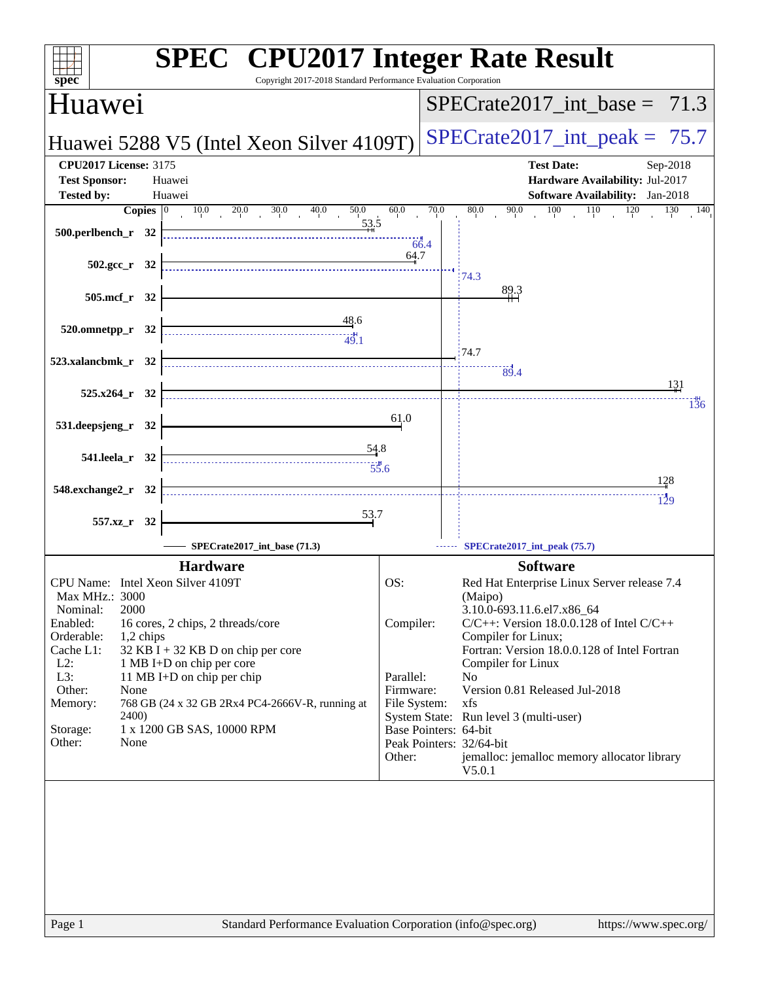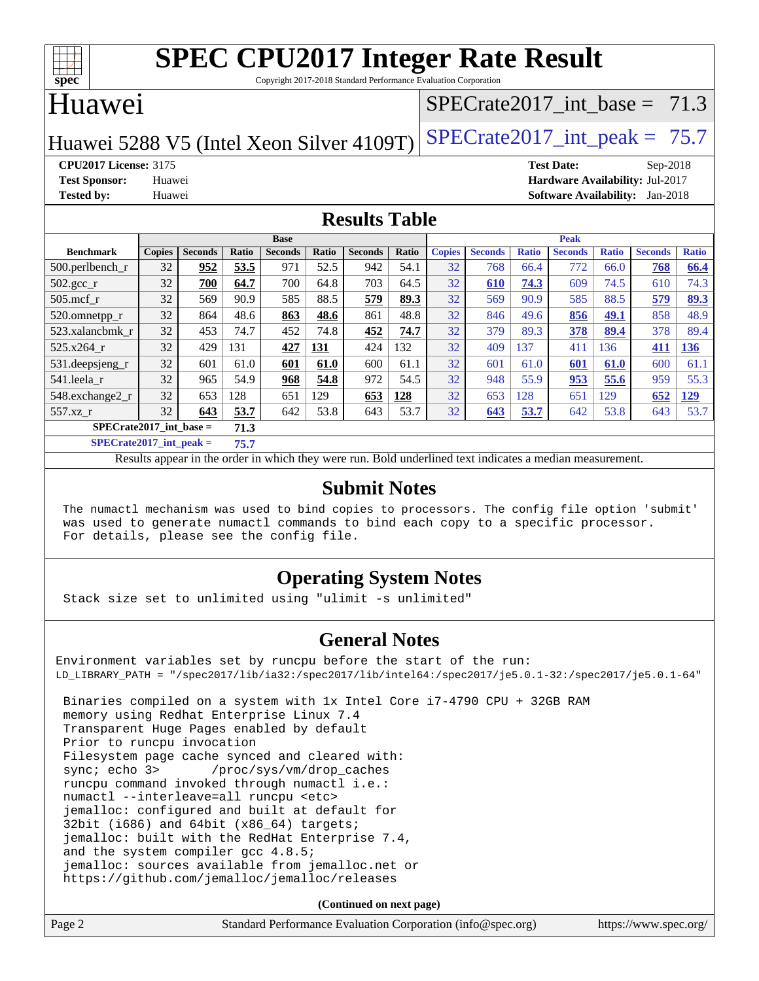

Copyright 2017-2018 Standard Performance Evaluation Corporation

#### Huawei

## [SPECrate2017\\_int\\_base =](http://www.spec.org/auto/cpu2017/Docs/result-fields.html#SPECrate2017intbase) 71.3

Huawei 5288 V5 (Intel Xeon Silver 4109T) SPECrate  $2017$  int peak = 75.7

**[CPU2017 License:](http://www.spec.org/auto/cpu2017/Docs/result-fields.html#CPU2017License)** 3175 **[Test Date:](http://www.spec.org/auto/cpu2017/Docs/result-fields.html#TestDate)** Sep-2018 **[Test Sponsor:](http://www.spec.org/auto/cpu2017/Docs/result-fields.html#TestSponsor)** Huawei **[Hardware Availability:](http://www.spec.org/auto/cpu2017/Docs/result-fields.html#HardwareAvailability)** Jul-2017 **[Tested by:](http://www.spec.org/auto/cpu2017/Docs/result-fields.html#Testedby)** Huawei **[Software Availability:](http://www.spec.org/auto/cpu2017/Docs/result-fields.html#SoftwareAvailability)** Jan-2018

#### **[Results Table](http://www.spec.org/auto/cpu2017/Docs/result-fields.html#ResultsTable)**

|                                   | <b>Base</b>   |                |              |                |       | <b>Peak</b>    |       |               |                |              |                |              |                |              |
|-----------------------------------|---------------|----------------|--------------|----------------|-------|----------------|-------|---------------|----------------|--------------|----------------|--------------|----------------|--------------|
| <b>Benchmark</b>                  | <b>Copies</b> | <b>Seconds</b> | <b>Ratio</b> | <b>Seconds</b> | Ratio | <b>Seconds</b> | Ratio | <b>Copies</b> | <b>Seconds</b> | <b>Ratio</b> | <b>Seconds</b> | <b>Ratio</b> | <b>Seconds</b> | <b>Ratio</b> |
| 500.perlbench_r                   | 32            | 952            | 53.5         | 971            | 52.5  | 942            | 54.1  | 32            | 768            | 66.4         | 772            | 66.0         | 768            | 66.4         |
| 502.gcc_r                         | 32            | 700            | 64.7         | 700            | 64.8  | 703            | 64.5  | 32            | 610            | 74.3         | 609            | 74.5         | 610            | 74.3         |
| $505$ .mcf r                      | 32            | 569            | 90.9         | 585            | 88.5  | 579            | 89.3  | 32            | 569            | 90.9         | 585            | 88.5         | 579            | 89.3         |
| 520.omnetpp_r                     | 32            | 864            | 48.6         | 863            | 48.6  | 861            | 48.8  | 32            | 846            | 49.6         | 856            | 49.1         | 858            | 48.9         |
| 523.xalancbmk r                   | 32            | 453            | 74.7         | 452            | 74.8  | 452            | 74.7  | 32            | 379            | 89.3         | 378            | 89.4         | 378            | 89.4         |
| 525.x264 r                        | 32            | 429            | 131          | 427            | 131   | 424            | 132   | 32            | 409            | 137          | 411            | 136          | 411            | <b>136</b>   |
| $531.$ deepsjeng $_r$             | 32            | 601            | 61.0         | 601            | 61.0  | 600            | 61.1  | 32            | 601            | 61.0         | 601            | 61.0         | 600            | 61.1         |
| 541.leela r                       | 32            | 965            | 54.9         | 968            | 54.8  | 972            | 54.5  | 32            | 948            | 55.9         | 953            | 55.6         | 959            | 55.3         |
| 548.exchange2_r                   | 32            | 653            | 128          | 651            | 129   | 653            | 128   | 32            | 653            | 128          | 651            | 129          | 652            | <u>129</u>   |
| 557.xz r                          | 32            | 643            | 53.7         | 642            | 53.8  | 643            | 53.7  | 32            | 643            | 53.7         | 642            | 53.8         | 643            | 53.7         |
| $SPECrate2017$ int base =<br>71.3 |               |                |              |                |       |                |       |               |                |              |                |              |                |              |
|                                   |               |                |              |                |       |                |       |               |                |              |                |              |                |              |

**[SPECrate2017\\_int\\_peak =](http://www.spec.org/auto/cpu2017/Docs/result-fields.html#SPECrate2017intpeak) 75.7**

Results appear in the [order in which they were run.](http://www.spec.org/auto/cpu2017/Docs/result-fields.html#RunOrder) Bold underlined text [indicates a median measurement.](http://www.spec.org/auto/cpu2017/Docs/result-fields.html#Median)

#### **[Submit Notes](http://www.spec.org/auto/cpu2017/Docs/result-fields.html#SubmitNotes)**

 The numactl mechanism was used to bind copies to processors. The config file option 'submit' was used to generate numactl commands to bind each copy to a specific processor. For details, please see the config file.

#### **[Operating System Notes](http://www.spec.org/auto/cpu2017/Docs/result-fields.html#OperatingSystemNotes)**

Stack size set to unlimited using "ulimit -s unlimited"

#### **[General Notes](http://www.spec.org/auto/cpu2017/Docs/result-fields.html#GeneralNotes)**

Environment variables set by runcpu before the start of the run: LD\_LIBRARY\_PATH = "/spec2017/lib/ia32:/spec2017/lib/intel64:/spec2017/je5.0.1-32:/spec2017/je5.0.1-64"

 Binaries compiled on a system with 1x Intel Core i7-4790 CPU + 32GB RAM memory using Redhat Enterprise Linux 7.4 Transparent Huge Pages enabled by default Prior to runcpu invocation Filesystem page cache synced and cleared with: sync; echo 3> /proc/sys/vm/drop\_caches runcpu command invoked through numactl i.e.: numactl --interleave=all runcpu <etc> jemalloc: configured and built at default for 32bit (i686) and 64bit (x86\_64) targets; jemalloc: built with the RedHat Enterprise 7.4, and the system compiler gcc 4.8.5; jemalloc: sources available from jemalloc.net or <https://github.com/jemalloc/jemalloc/releases>

**(Continued on next page)**

|  | Page 2 | Standard Performance Evaluation Corporation (info@spec.org) | https://www.spec.org/ |
|--|--------|-------------------------------------------------------------|-----------------------|
|--|--------|-------------------------------------------------------------|-----------------------|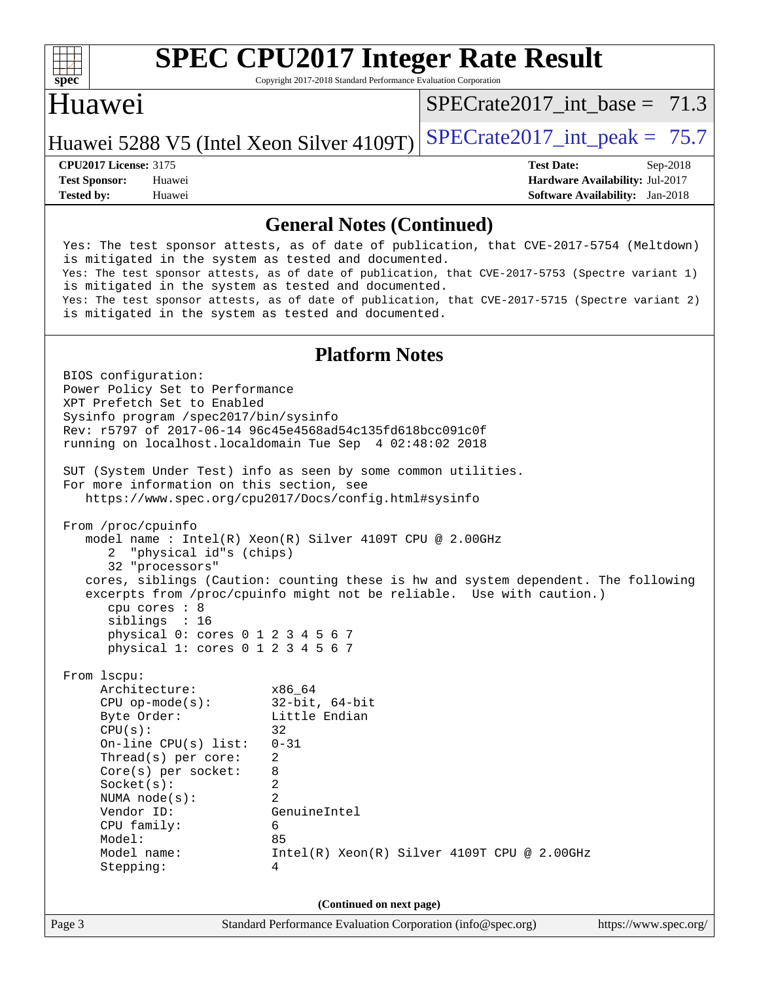

Copyright 2017-2018 Standard Performance Evaluation Corporation

#### Huawei

SPECrate2017 int\_base =  $71.3$ 

Huawei 5288 V5 (Intel Xeon Silver 4109T) SPECrate  $2017$  int peak = 75.7

**[CPU2017 License:](http://www.spec.org/auto/cpu2017/Docs/result-fields.html#CPU2017License)** 3175 **[Test Date:](http://www.spec.org/auto/cpu2017/Docs/result-fields.html#TestDate)** Sep-2018 **[Test Sponsor:](http://www.spec.org/auto/cpu2017/Docs/result-fields.html#TestSponsor)** Huawei **[Hardware Availability:](http://www.spec.org/auto/cpu2017/Docs/result-fields.html#HardwareAvailability)** Jul-2017 **[Tested by:](http://www.spec.org/auto/cpu2017/Docs/result-fields.html#Testedby)** Huawei **[Software Availability:](http://www.spec.org/auto/cpu2017/Docs/result-fields.html#SoftwareAvailability)** Jan-2018

#### **[General Notes \(Continued\)](http://www.spec.org/auto/cpu2017/Docs/result-fields.html#GeneralNotes)**

 Yes: The test sponsor attests, as of date of publication, that CVE-2017-5754 (Meltdown) is mitigated in the system as tested and documented. Yes: The test sponsor attests, as of date of publication, that CVE-2017-5753 (Spectre variant 1) is mitigated in the system as tested and documented. Yes: The test sponsor attests, as of date of publication, that CVE-2017-5715 (Spectre variant 2) is mitigated in the system as tested and documented.

#### **[Platform Notes](http://www.spec.org/auto/cpu2017/Docs/result-fields.html#PlatformNotes)**

Page 3 Standard Performance Evaluation Corporation [\(info@spec.org\)](mailto:info@spec.org) <https://www.spec.org/> BIOS configuration: Power Policy Set to Performance XPT Prefetch Set to Enabled Sysinfo program /spec2017/bin/sysinfo Rev: r5797 of 2017-06-14 96c45e4568ad54c135fd618bcc091c0f running on localhost.localdomain Tue Sep 4 02:48:02 2018 SUT (System Under Test) info as seen by some common utilities. For more information on this section, see <https://www.spec.org/cpu2017/Docs/config.html#sysinfo> From /proc/cpuinfo model name : Intel(R) Xeon(R) Silver 4109T CPU @ 2.00GHz 2 "physical id"s (chips) 32 "processors" cores, siblings (Caution: counting these is hw and system dependent. The following excerpts from /proc/cpuinfo might not be reliable. Use with caution.) cpu cores : 8 siblings : 16 physical 0: cores 0 1 2 3 4 5 6 7 physical 1: cores 0 1 2 3 4 5 6 7 From lscpu: Architecture: x86\_64 CPU op-mode(s): 32-bit, 64-bit Byte Order: Little Endian  $CPU(s):$  32 On-line CPU(s) list: 0-31 Thread(s) per core: 2 Core(s) per socket: 8 Socket(s): 2 NUMA node(s): 2 Vendor ID: GenuineIntel CPU family: 6 Model: 85 Model name: Intel(R) Xeon(R) Silver 4109T CPU @ 2.00GHz Stepping: 4 **(Continued on next page)**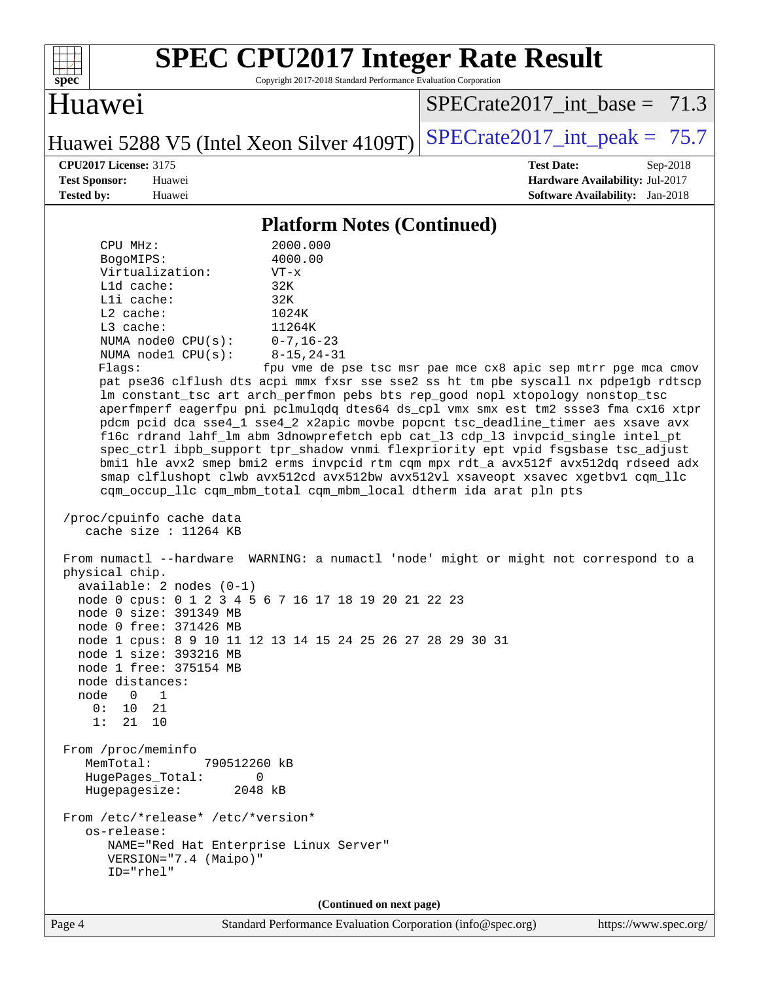

Copyright 2017-2018 Standard Performance Evaluation Corporation

Huawei

SPECrate2017 int\_base =  $71.3$ 

Huawei 5288 V5 (Intel Xeon Silver 4109T) SPECrate  $2017$  int peak = 75.7

**[CPU2017 License:](http://www.spec.org/auto/cpu2017/Docs/result-fields.html#CPU2017License)** 3175 **[Test Date:](http://www.spec.org/auto/cpu2017/Docs/result-fields.html#TestDate)** Sep-2018 **[Test Sponsor:](http://www.spec.org/auto/cpu2017/Docs/result-fields.html#TestSponsor)** Huawei **[Hardware Availability:](http://www.spec.org/auto/cpu2017/Docs/result-fields.html#HardwareAvailability)** Jul-2017 **[Tested by:](http://www.spec.org/auto/cpu2017/Docs/result-fields.html#Testedby)** Huawei **[Software Availability:](http://www.spec.org/auto/cpu2017/Docs/result-fields.html#SoftwareAvailability)** Jan-2018

#### **[Platform Notes \(Continued\)](http://www.spec.org/auto/cpu2017/Docs/result-fields.html#PlatformNotes)**

 CPU MHz: 2000.000 BogoMIPS: 4000.00 Virtualization: VT-x L1d cache: 32K L1i cache: 32K L2 cache: 1024K L3 cache: 11264K NUMA node0 CPU(s): 0-7,16-23 NUMA node1 CPU(s): 8-15,24-31 Flags: fpu vme de pse tsc msr pae mce cx8 apic sep mtrr pge mca cmov pat pse36 clflush dts acpi mmx fxsr sse sse2 ss ht tm pbe syscall nx pdpe1gb rdtscp lm constant\_tsc art arch\_perfmon pebs bts rep\_good nopl xtopology nonstop\_tsc aperfmperf eagerfpu pni pclmulqdq dtes64 ds\_cpl vmx smx est tm2 ssse3 fma cx16 xtpr pdcm pcid dca sse4\_1 sse4\_2 x2apic movbe popcnt tsc\_deadline\_timer aes xsave avx f16c rdrand lahf\_lm abm 3dnowprefetch epb cat\_l3 cdp\_l3 invpcid\_single intel\_pt spec\_ctrl ibpb\_support tpr\_shadow vnmi flexpriority ept vpid fsgsbase tsc\_adjust bmi1 hle avx2 smep bmi2 erms invpcid rtm cqm mpx rdt\_a avx512f avx512dq rdseed adx smap clflushopt clwb avx512cd avx512bw avx512vl xsaveopt xsavec xgetbv1 cqm\_llc cqm\_occup\_llc cqm\_mbm\_total cqm\_mbm\_local dtherm ida arat pln pts /proc/cpuinfo cache data cache size : 11264 KB From numactl --hardware WARNING: a numactl 'node' might or might not correspond to a physical chip. available: 2 nodes (0-1) node 0 cpus: 0 1 2 3 4 5 6 7 16 17 18 19 20 21 22 23 node 0 size: 391349 MB node 0 free: 371426 MB node 1 cpus: 8 9 10 11 12 13 14 15 24 25 26 27 28 29 30 31 node 1 size: 393216 MB node 1 free: 375154 MB node distances: node 0 1 0: 10 21 1: 21 10 From /proc/meminfo MemTotal: 790512260 kB HugePages\_Total: 0 Hugepagesize: 2048 kB From /etc/\*release\* /etc/\*version\* os-release: NAME="Red Hat Enterprise Linux Server" VERSION="7.4 (Maipo)" ID="rhel" **(Continued on next page)**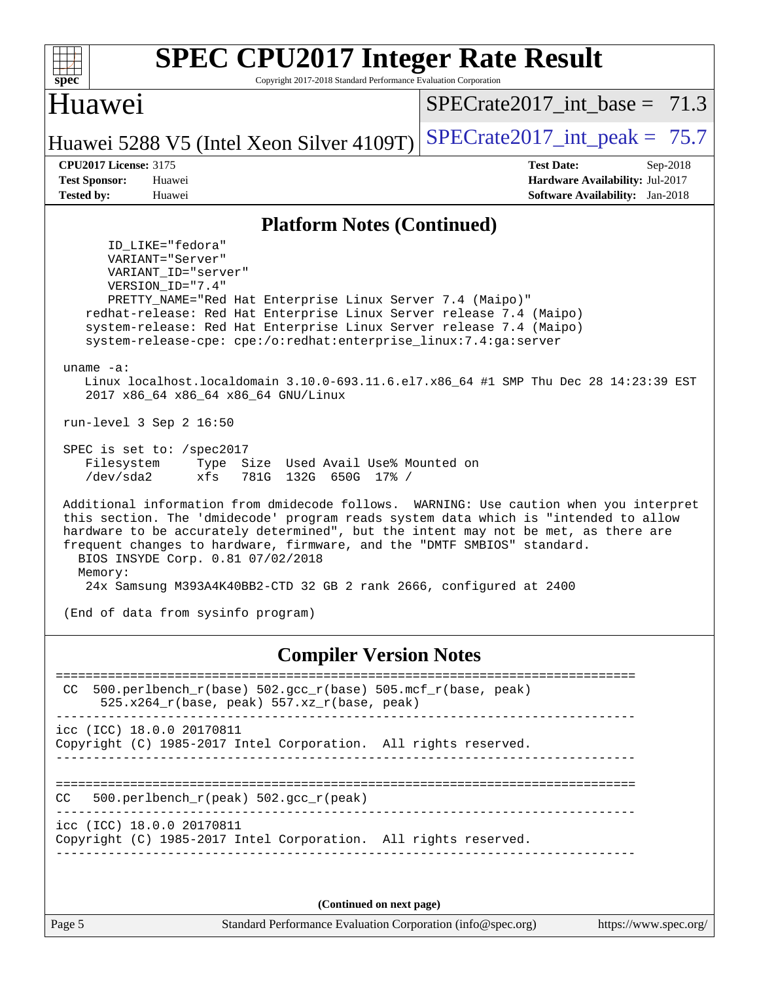| <b>SPEC CPU2017 Integer Rate Result</b><br>Copyright 2017-2018 Standard Performance Evaluation Corporation<br>$spec^*$                                                                                                                                                                                                                                                                                                                                                                                                                                                                                                                                                                                                                                                                                                                                                                                                                                                                                                                                                                                                                                                                    |                                                                                                              |
|-------------------------------------------------------------------------------------------------------------------------------------------------------------------------------------------------------------------------------------------------------------------------------------------------------------------------------------------------------------------------------------------------------------------------------------------------------------------------------------------------------------------------------------------------------------------------------------------------------------------------------------------------------------------------------------------------------------------------------------------------------------------------------------------------------------------------------------------------------------------------------------------------------------------------------------------------------------------------------------------------------------------------------------------------------------------------------------------------------------------------------------------------------------------------------------------|--------------------------------------------------------------------------------------------------------------|
| <b>Huawei</b>                                                                                                                                                                                                                                                                                                                                                                                                                                                                                                                                                                                                                                                                                                                                                                                                                                                                                                                                                                                                                                                                                                                                                                             | $SPECTate2017$ int base = 71.3                                                                               |
| Huawei 5288 V5 (Intel Xeon Silver 4109T)                                                                                                                                                                                                                                                                                                                                                                                                                                                                                                                                                                                                                                                                                                                                                                                                                                                                                                                                                                                                                                                                                                                                                  | $SPECrate2017\_int\_peak = 75.7$                                                                             |
| <b>CPU2017 License: 3175</b><br><b>Test Sponsor:</b><br>Huawei<br><b>Tested by:</b><br>Huawei                                                                                                                                                                                                                                                                                                                                                                                                                                                                                                                                                                                                                                                                                                                                                                                                                                                                                                                                                                                                                                                                                             | <b>Test Date:</b><br>$Sep-2018$<br>Hardware Availability: Jul-2017<br><b>Software Availability:</b> Jan-2018 |
| <b>Platform Notes (Continued)</b>                                                                                                                                                                                                                                                                                                                                                                                                                                                                                                                                                                                                                                                                                                                                                                                                                                                                                                                                                                                                                                                                                                                                                         |                                                                                                              |
| ID_LIKE="fedora"<br>VARIANT="Server"<br>VARIANT ID="server"<br>VERSION_ID="7.4"<br>PRETTY_NAME="Red Hat Enterprise Linux Server 7.4 (Maipo)"<br>redhat-release: Red Hat Enterprise Linux Server release 7.4 (Maipo)<br>system-release: Red Hat Enterprise Linux Server release 7.4 (Maipo)<br>system-release-cpe: cpe:/o:redhat:enterprise_linux:7.4:ga:server<br>$uname -a$ :<br>Linux localhost.localdomain 3.10.0-693.11.6.el7.x86_64 #1 SMP Thu Dec 28 14:23:39 EST<br>2017 x86_64 x86_64 x86_64 GNU/Linux<br>run-level 3 Sep 2 16:50<br>SPEC is set to: /spec2017<br>Filesystem<br>Type Size Used Avail Use% Mounted on<br>/dev/sda2<br>xfs<br>781G<br>132G 650G 17% /<br>Additional information from dmidecode follows. WARNING: Use caution when you interpret<br>this section. The 'dmidecode' program reads system data which is "intended to allow<br>hardware to be accurately determined", but the intent may not be met, as there are<br>frequent changes to hardware, firmware, and the "DMTF SMBIOS" standard.<br>BIOS INSYDE Corp. 0.81 07/02/2018<br>Memory:<br>24x Samsung M393A4K40BB2-CTD 32 GB 2 rank 2666, configured at 2400<br>(End of data from sysinfo program) |                                                                                                              |
| <b>Compiler Version Notes</b>                                                                                                                                                                                                                                                                                                                                                                                                                                                                                                                                                                                                                                                                                                                                                                                                                                                                                                                                                                                                                                                                                                                                                             |                                                                                                              |
| $500. perlbench_r(base) 502. gcc_r(base) 505.mcf_r(base, peak)$<br>CC<br>$525.x264_r(base, peak) 557.xz_r(base, peak)$                                                                                                                                                                                                                                                                                                                                                                                                                                                                                                                                                                                                                                                                                                                                                                                                                                                                                                                                                                                                                                                                    |                                                                                                              |
| icc (ICC) 18.0.0 20170811<br>Copyright (C) 1985-2017 Intel Corporation. All rights reserved.                                                                                                                                                                                                                                                                                                                                                                                                                                                                                                                                                                                                                                                                                                                                                                                                                                                                                                                                                                                                                                                                                              |                                                                                                              |
| 500.perlbench_r(peak) 502.gcc_r(peak)<br>CC.<br>icc (ICC) 18.0.0 20170811<br>Copyright (C) 1985-2017 Intel Corporation. All rights reserved.<br><u>Le de de de de deu</u>                                                                                                                                                                                                                                                                                                                                                                                                                                                                                                                                                                                                                                                                                                                                                                                                                                                                                                                                                                                                                 |                                                                                                              |
| (Continued on next page)<br>Standard Performance Evaluation Corporation (info@spec.org)<br>Page 5                                                                                                                                                                                                                                                                                                                                                                                                                                                                                                                                                                                                                                                                                                                                                                                                                                                                                                                                                                                                                                                                                         | https://www.spec.org/                                                                                        |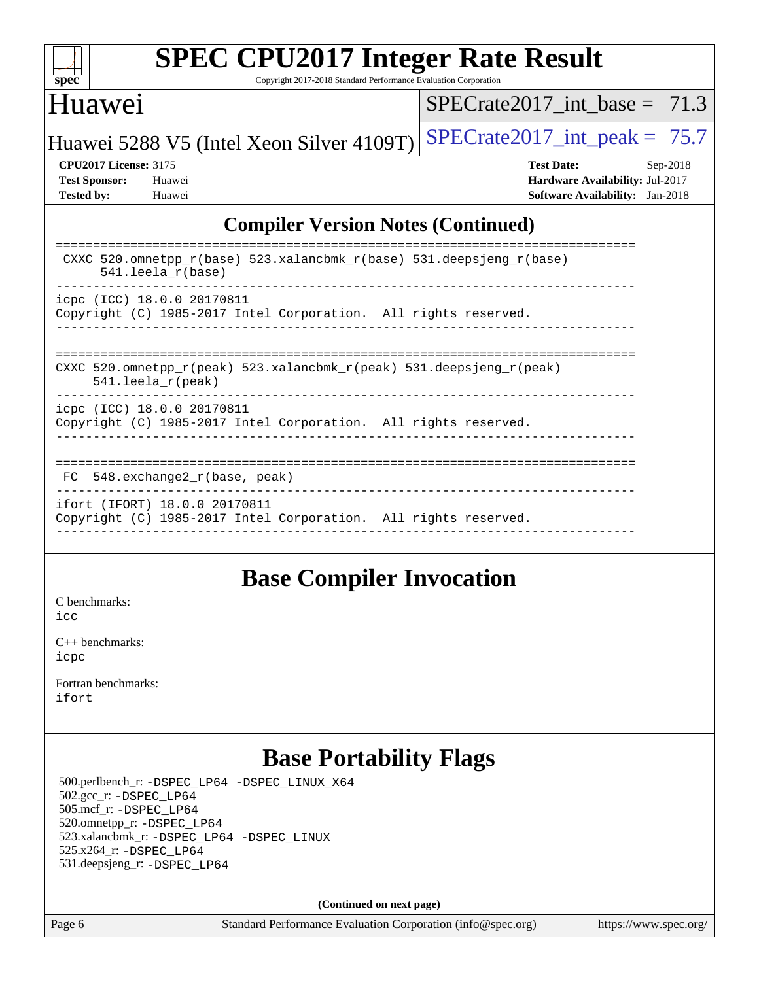

Copyright 2017-2018 Standard Performance Evaluation Corporation

#### Huawei

SPECrate2017 int\_base =  $71.3$ 

Huawei 5288 V5 (Intel Xeon Silver 4109T) SPECrate  $2017$ \_int\_peak = 75.7

**[CPU2017 License:](http://www.spec.org/auto/cpu2017/Docs/result-fields.html#CPU2017License)** 3175 **[Test Date:](http://www.spec.org/auto/cpu2017/Docs/result-fields.html#TestDate)** Sep-2018 **[Test Sponsor:](http://www.spec.org/auto/cpu2017/Docs/result-fields.html#TestSponsor)** Huawei **[Hardware Availability:](http://www.spec.org/auto/cpu2017/Docs/result-fields.html#HardwareAvailability)** Jul-2017 **[Tested by:](http://www.spec.org/auto/cpu2017/Docs/result-fields.html#Testedby)** Huawei **[Software Availability:](http://www.spec.org/auto/cpu2017/Docs/result-fields.html#SoftwareAvailability)** Jan-2018

#### **[Compiler Version Notes \(Continued\)](http://www.spec.org/auto/cpu2017/Docs/result-fields.html#CompilerVersionNotes)**

| CXXC 520.omnetpp $r(base)$ 523.xalancbmk $r(base)$ 531.deepsjeng $r(base)$<br>$541.$ leela r(base)                         |
|----------------------------------------------------------------------------------------------------------------------------|
| icpc (ICC) 18.0.0 20170811<br>Copyright (C) 1985-2017 Intel Corporation. All rights reserved.                              |
| CXXC 520.omnetpp $r(\text{peak})$ 523.xalancbmk $r(\text{peak})$ 531.deepsjeng $r(\text{peak})$<br>$541.$ leela $r$ (peak) |
| icpc (ICC) 18.0.0 20170811<br>Copyright (C) 1985-2017 Intel Corporation. All rights reserved.                              |
| $FC$ 548. exchange2 $r(base, peak)$                                                                                        |
| ifort (IFORT) 18.0.0 20170811<br>Copyright (C) 1985-2017 Intel Corporation. All rights reserved.                           |

#### **[Base Compiler Invocation](http://www.spec.org/auto/cpu2017/Docs/result-fields.html#BaseCompilerInvocation)**

[C benchmarks](http://www.spec.org/auto/cpu2017/Docs/result-fields.html#Cbenchmarks): [icc](http://www.spec.org/cpu2017/results/res2018q4/cpu2017-20180909-08833.flags.html#user_CCbase_intel_icc_18.0_66fc1ee009f7361af1fbd72ca7dcefbb700085f36577c54f309893dd4ec40d12360134090235512931783d35fd58c0460139e722d5067c5574d8eaf2b3e37e92)

[C++ benchmarks:](http://www.spec.org/auto/cpu2017/Docs/result-fields.html#CXXbenchmarks) [icpc](http://www.spec.org/cpu2017/results/res2018q4/cpu2017-20180909-08833.flags.html#user_CXXbase_intel_icpc_18.0_c510b6838c7f56d33e37e94d029a35b4a7bccf4766a728ee175e80a419847e808290a9b78be685c44ab727ea267ec2f070ec5dc83b407c0218cded6866a35d07)

[Fortran benchmarks](http://www.spec.org/auto/cpu2017/Docs/result-fields.html#Fortranbenchmarks): [ifort](http://www.spec.org/cpu2017/results/res2018q4/cpu2017-20180909-08833.flags.html#user_FCbase_intel_ifort_18.0_8111460550e3ca792625aed983ce982f94888b8b503583aa7ba2b8303487b4d8a21a13e7191a45c5fd58ff318f48f9492884d4413fa793fd88dd292cad7027ca)

## **[Base Portability Flags](http://www.spec.org/auto/cpu2017/Docs/result-fields.html#BasePortabilityFlags)**

 500.perlbench\_r: [-DSPEC\\_LP64](http://www.spec.org/cpu2017/results/res2018q4/cpu2017-20180909-08833.flags.html#b500.perlbench_r_basePORTABILITY_DSPEC_LP64) [-DSPEC\\_LINUX\\_X64](http://www.spec.org/cpu2017/results/res2018q4/cpu2017-20180909-08833.flags.html#b500.perlbench_r_baseCPORTABILITY_DSPEC_LINUX_X64) 502.gcc\_r: [-DSPEC\\_LP64](http://www.spec.org/cpu2017/results/res2018q4/cpu2017-20180909-08833.flags.html#suite_basePORTABILITY502_gcc_r_DSPEC_LP64) 505.mcf\_r: [-DSPEC\\_LP64](http://www.spec.org/cpu2017/results/res2018q4/cpu2017-20180909-08833.flags.html#suite_basePORTABILITY505_mcf_r_DSPEC_LP64) 520.omnetpp\_r: [-DSPEC\\_LP64](http://www.spec.org/cpu2017/results/res2018q4/cpu2017-20180909-08833.flags.html#suite_basePORTABILITY520_omnetpp_r_DSPEC_LP64) 523.xalancbmk\_r: [-DSPEC\\_LP64](http://www.spec.org/cpu2017/results/res2018q4/cpu2017-20180909-08833.flags.html#suite_basePORTABILITY523_xalancbmk_r_DSPEC_LP64) [-DSPEC\\_LINUX](http://www.spec.org/cpu2017/results/res2018q4/cpu2017-20180909-08833.flags.html#b523.xalancbmk_r_baseCXXPORTABILITY_DSPEC_LINUX) 525.x264\_r: [-DSPEC\\_LP64](http://www.spec.org/cpu2017/results/res2018q4/cpu2017-20180909-08833.flags.html#suite_basePORTABILITY525_x264_r_DSPEC_LP64) 531.deepsjeng\_r: [-DSPEC\\_LP64](http://www.spec.org/cpu2017/results/res2018q4/cpu2017-20180909-08833.flags.html#suite_basePORTABILITY531_deepsjeng_r_DSPEC_LP64)

**(Continued on next page)**

Page 6 Standard Performance Evaluation Corporation [\(info@spec.org\)](mailto:info@spec.org) <https://www.spec.org/>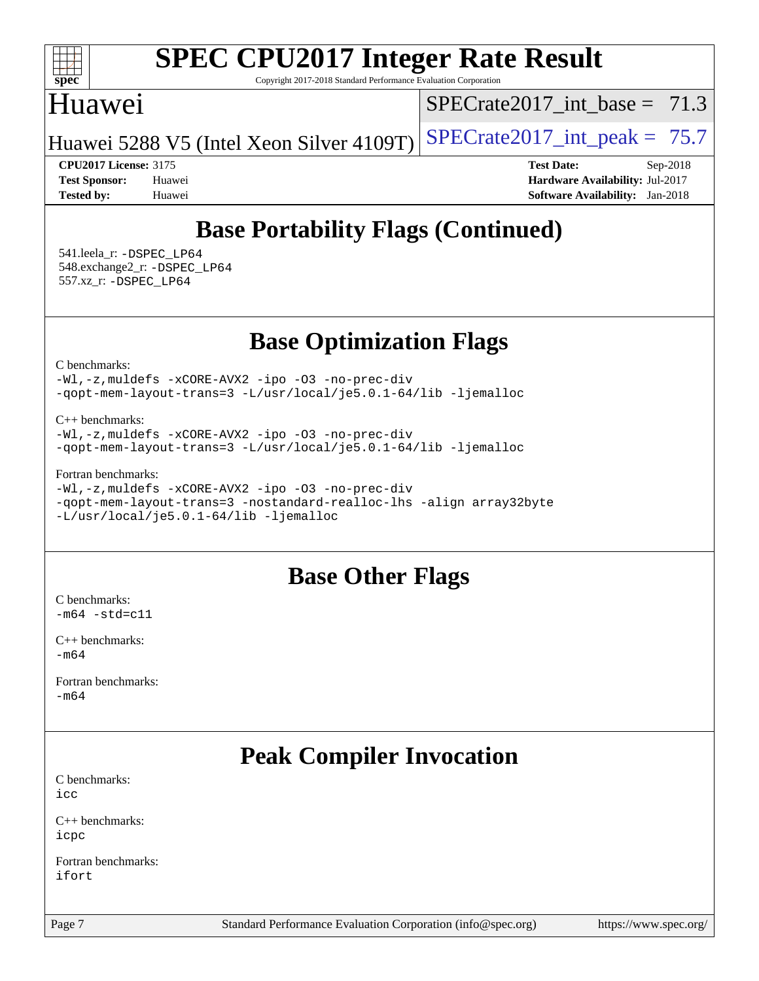

Copyright 2017-2018 Standard Performance Evaluation Corporation

#### Huawei

[SPECrate2017\\_int\\_base =](http://www.spec.org/auto/cpu2017/Docs/result-fields.html#SPECrate2017intbase) 71.3

Huawei 5288 V5 (Intel Xeon Silver 4109T) SPECrate  $2017$  int peak = 75.7

**[CPU2017 License:](http://www.spec.org/auto/cpu2017/Docs/result-fields.html#CPU2017License)** 3175 **[Test Date:](http://www.spec.org/auto/cpu2017/Docs/result-fields.html#TestDate)** Sep-2018 **[Test Sponsor:](http://www.spec.org/auto/cpu2017/Docs/result-fields.html#TestSponsor)** Huawei **[Hardware Availability:](http://www.spec.org/auto/cpu2017/Docs/result-fields.html#HardwareAvailability)** Jul-2017 **[Tested by:](http://www.spec.org/auto/cpu2017/Docs/result-fields.html#Testedby)** Huawei **[Software Availability:](http://www.spec.org/auto/cpu2017/Docs/result-fields.html#SoftwareAvailability)** Jan-2018

## **[Base Portability Flags \(Continued\)](http://www.spec.org/auto/cpu2017/Docs/result-fields.html#BasePortabilityFlags)**

 541.leela\_r: [-DSPEC\\_LP64](http://www.spec.org/cpu2017/results/res2018q4/cpu2017-20180909-08833.flags.html#suite_basePORTABILITY541_leela_r_DSPEC_LP64) 548.exchange2\_r: [-DSPEC\\_LP64](http://www.spec.org/cpu2017/results/res2018q4/cpu2017-20180909-08833.flags.html#suite_basePORTABILITY548_exchange2_r_DSPEC_LP64) 557.xz\_r: [-DSPEC\\_LP64](http://www.spec.org/cpu2017/results/res2018q4/cpu2017-20180909-08833.flags.html#suite_basePORTABILITY557_xz_r_DSPEC_LP64)

## **[Base Optimization Flags](http://www.spec.org/auto/cpu2017/Docs/result-fields.html#BaseOptimizationFlags)**

[C benchmarks](http://www.spec.org/auto/cpu2017/Docs/result-fields.html#Cbenchmarks):

[-Wl,-z,muldefs](http://www.spec.org/cpu2017/results/res2018q4/cpu2017-20180909-08833.flags.html#user_CCbase_link_force_multiple1_b4cbdb97b34bdee9ceefcfe54f4c8ea74255f0b02a4b23e853cdb0e18eb4525ac79b5a88067c842dd0ee6996c24547a27a4b99331201badda8798ef8a743f577) [-xCORE-AVX2](http://www.spec.org/cpu2017/results/res2018q4/cpu2017-20180909-08833.flags.html#user_CCbase_f-xCORE-AVX2) [-ipo](http://www.spec.org/cpu2017/results/res2018q4/cpu2017-20180909-08833.flags.html#user_CCbase_f-ipo) [-O3](http://www.spec.org/cpu2017/results/res2018q4/cpu2017-20180909-08833.flags.html#user_CCbase_f-O3) [-no-prec-div](http://www.spec.org/cpu2017/results/res2018q4/cpu2017-20180909-08833.flags.html#user_CCbase_f-no-prec-div) [-qopt-mem-layout-trans=3](http://www.spec.org/cpu2017/results/res2018q4/cpu2017-20180909-08833.flags.html#user_CCbase_f-qopt-mem-layout-trans_de80db37974c74b1f0e20d883f0b675c88c3b01e9d123adea9b28688d64333345fb62bc4a798493513fdb68f60282f9a726aa07f478b2f7113531aecce732043) [-L/usr/local/je5.0.1-64/lib](http://www.spec.org/cpu2017/results/res2018q4/cpu2017-20180909-08833.flags.html#user_CCbase_jemalloc_link_path64_4b10a636b7bce113509b17f3bd0d6226c5fb2346b9178c2d0232c14f04ab830f976640479e5c33dc2bcbbdad86ecfb6634cbbd4418746f06f368b512fced5394) [-ljemalloc](http://www.spec.org/cpu2017/results/res2018q4/cpu2017-20180909-08833.flags.html#user_CCbase_jemalloc_link_lib_d1249b907c500fa1c0672f44f562e3d0f79738ae9e3c4a9c376d49f265a04b9c99b167ecedbf6711b3085be911c67ff61f150a17b3472be731631ba4d0471706)

[C++ benchmarks:](http://www.spec.org/auto/cpu2017/Docs/result-fields.html#CXXbenchmarks)

[-Wl,-z,muldefs](http://www.spec.org/cpu2017/results/res2018q4/cpu2017-20180909-08833.flags.html#user_CXXbase_link_force_multiple1_b4cbdb97b34bdee9ceefcfe54f4c8ea74255f0b02a4b23e853cdb0e18eb4525ac79b5a88067c842dd0ee6996c24547a27a4b99331201badda8798ef8a743f577) [-xCORE-AVX2](http://www.spec.org/cpu2017/results/res2018q4/cpu2017-20180909-08833.flags.html#user_CXXbase_f-xCORE-AVX2) [-ipo](http://www.spec.org/cpu2017/results/res2018q4/cpu2017-20180909-08833.flags.html#user_CXXbase_f-ipo) [-O3](http://www.spec.org/cpu2017/results/res2018q4/cpu2017-20180909-08833.flags.html#user_CXXbase_f-O3) [-no-prec-div](http://www.spec.org/cpu2017/results/res2018q4/cpu2017-20180909-08833.flags.html#user_CXXbase_f-no-prec-div) [-qopt-mem-layout-trans=3](http://www.spec.org/cpu2017/results/res2018q4/cpu2017-20180909-08833.flags.html#user_CXXbase_f-qopt-mem-layout-trans_de80db37974c74b1f0e20d883f0b675c88c3b01e9d123adea9b28688d64333345fb62bc4a798493513fdb68f60282f9a726aa07f478b2f7113531aecce732043) [-L/usr/local/je5.0.1-64/lib](http://www.spec.org/cpu2017/results/res2018q4/cpu2017-20180909-08833.flags.html#user_CXXbase_jemalloc_link_path64_4b10a636b7bce113509b17f3bd0d6226c5fb2346b9178c2d0232c14f04ab830f976640479e5c33dc2bcbbdad86ecfb6634cbbd4418746f06f368b512fced5394) [-ljemalloc](http://www.spec.org/cpu2017/results/res2018q4/cpu2017-20180909-08833.flags.html#user_CXXbase_jemalloc_link_lib_d1249b907c500fa1c0672f44f562e3d0f79738ae9e3c4a9c376d49f265a04b9c99b167ecedbf6711b3085be911c67ff61f150a17b3472be731631ba4d0471706)

[Fortran benchmarks](http://www.spec.org/auto/cpu2017/Docs/result-fields.html#Fortranbenchmarks):

[-Wl,-z,muldefs](http://www.spec.org/cpu2017/results/res2018q4/cpu2017-20180909-08833.flags.html#user_FCbase_link_force_multiple1_b4cbdb97b34bdee9ceefcfe54f4c8ea74255f0b02a4b23e853cdb0e18eb4525ac79b5a88067c842dd0ee6996c24547a27a4b99331201badda8798ef8a743f577) [-xCORE-AVX2](http://www.spec.org/cpu2017/results/res2018q4/cpu2017-20180909-08833.flags.html#user_FCbase_f-xCORE-AVX2) [-ipo](http://www.spec.org/cpu2017/results/res2018q4/cpu2017-20180909-08833.flags.html#user_FCbase_f-ipo) [-O3](http://www.spec.org/cpu2017/results/res2018q4/cpu2017-20180909-08833.flags.html#user_FCbase_f-O3) [-no-prec-div](http://www.spec.org/cpu2017/results/res2018q4/cpu2017-20180909-08833.flags.html#user_FCbase_f-no-prec-div) [-qopt-mem-layout-trans=3](http://www.spec.org/cpu2017/results/res2018q4/cpu2017-20180909-08833.flags.html#user_FCbase_f-qopt-mem-layout-trans_de80db37974c74b1f0e20d883f0b675c88c3b01e9d123adea9b28688d64333345fb62bc4a798493513fdb68f60282f9a726aa07f478b2f7113531aecce732043) [-nostandard-realloc-lhs](http://www.spec.org/cpu2017/results/res2018q4/cpu2017-20180909-08833.flags.html#user_FCbase_f_2003_std_realloc_82b4557e90729c0f113870c07e44d33d6f5a304b4f63d4c15d2d0f1fab99f5daaed73bdb9275d9ae411527f28b936061aa8b9c8f2d63842963b95c9dd6426b8a) [-align array32byte](http://www.spec.org/cpu2017/results/res2018q4/cpu2017-20180909-08833.flags.html#user_FCbase_align_array32byte_b982fe038af199962ba9a80c053b8342c548c85b40b8e86eb3cc33dee0d7986a4af373ac2d51c3f7cf710a18d62fdce2948f201cd044323541f22fc0fffc51b6) [-L/usr/local/je5.0.1-64/lib](http://www.spec.org/cpu2017/results/res2018q4/cpu2017-20180909-08833.flags.html#user_FCbase_jemalloc_link_path64_4b10a636b7bce113509b17f3bd0d6226c5fb2346b9178c2d0232c14f04ab830f976640479e5c33dc2bcbbdad86ecfb6634cbbd4418746f06f368b512fced5394) [-ljemalloc](http://www.spec.org/cpu2017/results/res2018q4/cpu2017-20180909-08833.flags.html#user_FCbase_jemalloc_link_lib_d1249b907c500fa1c0672f44f562e3d0f79738ae9e3c4a9c376d49f265a04b9c99b167ecedbf6711b3085be911c67ff61f150a17b3472be731631ba4d0471706)

### **[Base Other Flags](http://www.spec.org/auto/cpu2017/Docs/result-fields.html#BaseOtherFlags)**

[C benchmarks](http://www.spec.org/auto/cpu2017/Docs/result-fields.html#Cbenchmarks):  $-m64$   $-std=cl1$ 

[C++ benchmarks:](http://www.spec.org/auto/cpu2017/Docs/result-fields.html#CXXbenchmarks) [-m64](http://www.spec.org/cpu2017/results/res2018q4/cpu2017-20180909-08833.flags.html#user_CXXbase_intel_intel64_18.0_af43caccfc8ded86e7699f2159af6efc7655f51387b94da716254467f3c01020a5059329e2569e4053f409e7c9202a7efc638f7a6d1ffb3f52dea4a3e31d82ab)

[Fortran benchmarks](http://www.spec.org/auto/cpu2017/Docs/result-fields.html#Fortranbenchmarks): [-m64](http://www.spec.org/cpu2017/results/res2018q4/cpu2017-20180909-08833.flags.html#user_FCbase_intel_intel64_18.0_af43caccfc8ded86e7699f2159af6efc7655f51387b94da716254467f3c01020a5059329e2569e4053f409e7c9202a7efc638f7a6d1ffb3f52dea4a3e31d82ab)

## **[Peak Compiler Invocation](http://www.spec.org/auto/cpu2017/Docs/result-fields.html#PeakCompilerInvocation)**

[C benchmarks](http://www.spec.org/auto/cpu2017/Docs/result-fields.html#Cbenchmarks): [icc](http://www.spec.org/cpu2017/results/res2018q4/cpu2017-20180909-08833.flags.html#user_CCpeak_intel_icc_18.0_66fc1ee009f7361af1fbd72ca7dcefbb700085f36577c54f309893dd4ec40d12360134090235512931783d35fd58c0460139e722d5067c5574d8eaf2b3e37e92)

[C++ benchmarks:](http://www.spec.org/auto/cpu2017/Docs/result-fields.html#CXXbenchmarks) [icpc](http://www.spec.org/cpu2017/results/res2018q4/cpu2017-20180909-08833.flags.html#user_CXXpeak_intel_icpc_18.0_c510b6838c7f56d33e37e94d029a35b4a7bccf4766a728ee175e80a419847e808290a9b78be685c44ab727ea267ec2f070ec5dc83b407c0218cded6866a35d07)

[Fortran benchmarks](http://www.spec.org/auto/cpu2017/Docs/result-fields.html#Fortranbenchmarks): [ifort](http://www.spec.org/cpu2017/results/res2018q4/cpu2017-20180909-08833.flags.html#user_FCpeak_intel_ifort_18.0_8111460550e3ca792625aed983ce982f94888b8b503583aa7ba2b8303487b4d8a21a13e7191a45c5fd58ff318f48f9492884d4413fa793fd88dd292cad7027ca)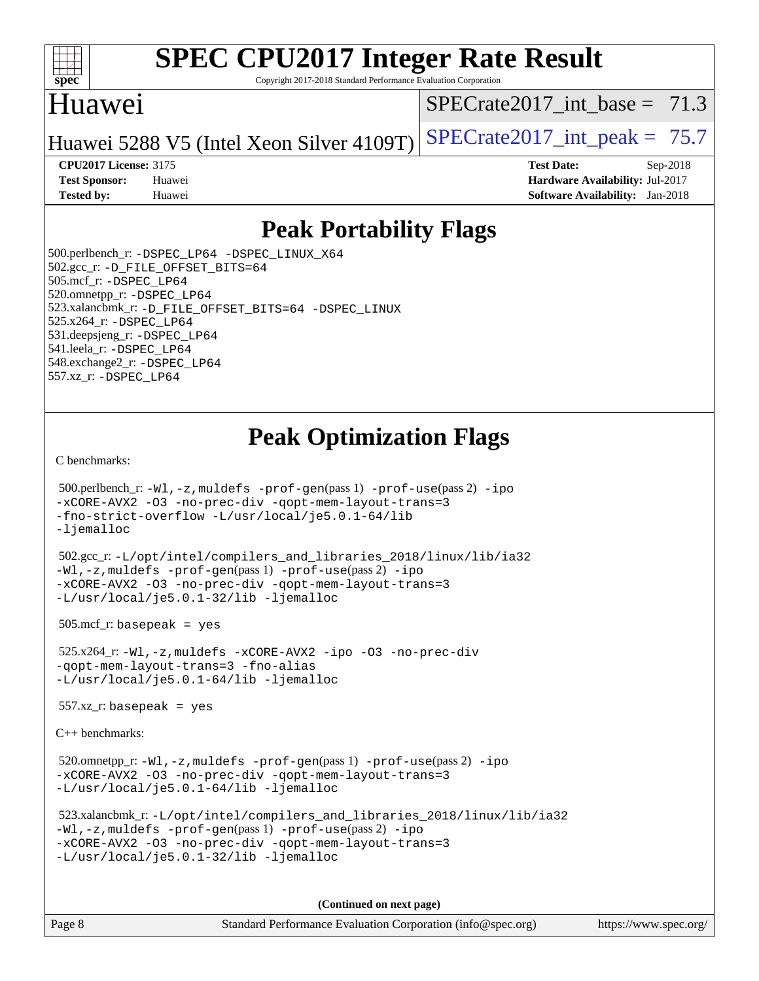

Copyright 2017-2018 Standard Performance Evaluation Corporation

## Huawei

[SPECrate2017\\_int\\_base =](http://www.spec.org/auto/cpu2017/Docs/result-fields.html#SPECrate2017intbase) 71.3

Huawei 5288 V5 (Intel Xeon Silver 4109T) SPECrate  $2017$  int peak = 75.7

**[CPU2017 License:](http://www.spec.org/auto/cpu2017/Docs/result-fields.html#CPU2017License)** 3175 **[Test Date:](http://www.spec.org/auto/cpu2017/Docs/result-fields.html#TestDate)** Sep-2018 **[Test Sponsor:](http://www.spec.org/auto/cpu2017/Docs/result-fields.html#TestSponsor)** Huawei **[Hardware Availability:](http://www.spec.org/auto/cpu2017/Docs/result-fields.html#HardwareAvailability)** Jul-2017 **[Tested by:](http://www.spec.org/auto/cpu2017/Docs/result-fields.html#Testedby)** Huawei **[Software Availability:](http://www.spec.org/auto/cpu2017/Docs/result-fields.html#SoftwareAvailability)** Jan-2018

## **[Peak Portability Flags](http://www.spec.org/auto/cpu2017/Docs/result-fields.html#PeakPortabilityFlags)**

 500.perlbench\_r: [-DSPEC\\_LP64](http://www.spec.org/cpu2017/results/res2018q4/cpu2017-20180909-08833.flags.html#b500.perlbench_r_peakPORTABILITY_DSPEC_LP64) [-DSPEC\\_LINUX\\_X64](http://www.spec.org/cpu2017/results/res2018q4/cpu2017-20180909-08833.flags.html#b500.perlbench_r_peakCPORTABILITY_DSPEC_LINUX_X64) 502.gcc\_r: [-D\\_FILE\\_OFFSET\\_BITS=64](http://www.spec.org/cpu2017/results/res2018q4/cpu2017-20180909-08833.flags.html#user_peakPORTABILITY502_gcc_r_file_offset_bits_64_5ae949a99b284ddf4e95728d47cb0843d81b2eb0e18bdfe74bbf0f61d0b064f4bda2f10ea5eb90e1dcab0e84dbc592acfc5018bc955c18609f94ddb8d550002c) 505.mcf\_r: [-DSPEC\\_LP64](http://www.spec.org/cpu2017/results/res2018q4/cpu2017-20180909-08833.flags.html#suite_peakPORTABILITY505_mcf_r_DSPEC_LP64) 520.omnetpp\_r: [-DSPEC\\_LP64](http://www.spec.org/cpu2017/results/res2018q4/cpu2017-20180909-08833.flags.html#suite_peakPORTABILITY520_omnetpp_r_DSPEC_LP64) 523.xalancbmk\_r: [-D\\_FILE\\_OFFSET\\_BITS=64](http://www.spec.org/cpu2017/results/res2018q4/cpu2017-20180909-08833.flags.html#user_peakPORTABILITY523_xalancbmk_r_file_offset_bits_64_5ae949a99b284ddf4e95728d47cb0843d81b2eb0e18bdfe74bbf0f61d0b064f4bda2f10ea5eb90e1dcab0e84dbc592acfc5018bc955c18609f94ddb8d550002c) [-DSPEC\\_LINUX](http://www.spec.org/cpu2017/results/res2018q4/cpu2017-20180909-08833.flags.html#b523.xalancbmk_r_peakCXXPORTABILITY_DSPEC_LINUX) 525.x264\_r: [-DSPEC\\_LP64](http://www.spec.org/cpu2017/results/res2018q4/cpu2017-20180909-08833.flags.html#suite_peakPORTABILITY525_x264_r_DSPEC_LP64) 531.deepsjeng\_r: [-DSPEC\\_LP64](http://www.spec.org/cpu2017/results/res2018q4/cpu2017-20180909-08833.flags.html#suite_peakPORTABILITY531_deepsjeng_r_DSPEC_LP64) 541.leela\_r: [-DSPEC\\_LP64](http://www.spec.org/cpu2017/results/res2018q4/cpu2017-20180909-08833.flags.html#suite_peakPORTABILITY541_leela_r_DSPEC_LP64) 548.exchange2\_r: [-DSPEC\\_LP64](http://www.spec.org/cpu2017/results/res2018q4/cpu2017-20180909-08833.flags.html#suite_peakPORTABILITY548_exchange2_r_DSPEC_LP64) 557.xz\_r: [-DSPEC\\_LP64](http://www.spec.org/cpu2017/results/res2018q4/cpu2017-20180909-08833.flags.html#suite_peakPORTABILITY557_xz_r_DSPEC_LP64)

## **[Peak Optimization Flags](http://www.spec.org/auto/cpu2017/Docs/result-fields.html#PeakOptimizationFlags)**

[C benchmarks](http://www.spec.org/auto/cpu2017/Docs/result-fields.html#Cbenchmarks):

```
 500.perlbench_r: -Wl,-z,muldefs -prof-gen(pass 1) -prof-use(pass 2) -ipo
-xCORE-AVX2 -O3 -no-prec-div -qopt-mem-layout-trans=3
-fno-strict-overflow -L/usr/local/je5.0.1-64/lib
-ljemalloc
```
 502.gcc\_r: [-L/opt/intel/compilers\\_and\\_libraries\\_2018/linux/lib/ia32](http://www.spec.org/cpu2017/results/res2018q4/cpu2017-20180909-08833.flags.html#user_peakCCLD502_gcc_r_Enable-32bit-runtime_af243bdb1d79e4c7a4f720bf8275e627de2ecd461de63307bc14cef0633fde3cd7bb2facb32dcc8be9566045fb55d40ce2b72b725f73827aa7833441b71b9343) [-Wl,-z,muldefs](http://www.spec.org/cpu2017/results/res2018q4/cpu2017-20180909-08833.flags.html#user_peakEXTRA_LDFLAGS502_gcc_r_link_force_multiple1_b4cbdb97b34bdee9ceefcfe54f4c8ea74255f0b02a4b23e853cdb0e18eb4525ac79b5a88067c842dd0ee6996c24547a27a4b99331201badda8798ef8a743f577) [-prof-gen](http://www.spec.org/cpu2017/results/res2018q4/cpu2017-20180909-08833.flags.html#user_peakPASS1_CFLAGSPASS1_LDFLAGS502_gcc_r_prof_gen_5aa4926d6013ddb2a31985c654b3eb18169fc0c6952a63635c234f711e6e63dd76e94ad52365559451ec499a2cdb89e4dc58ba4c67ef54ca681ffbe1461d6b36)(pass 1) [-prof-use](http://www.spec.org/cpu2017/results/res2018q4/cpu2017-20180909-08833.flags.html#user_peakPASS2_CFLAGSPASS2_LDFLAGS502_gcc_r_prof_use_1a21ceae95f36a2b53c25747139a6c16ca95bd9def2a207b4f0849963b97e94f5260e30a0c64f4bb623698870e679ca08317ef8150905d41bd88c6f78df73f19)(pass 2) [-ipo](http://www.spec.org/cpu2017/results/res2018q4/cpu2017-20180909-08833.flags.html#user_peakPASS1_COPTIMIZEPASS2_COPTIMIZE502_gcc_r_f-ipo) [-xCORE-AVX2](http://www.spec.org/cpu2017/results/res2018q4/cpu2017-20180909-08833.flags.html#user_peakPASS2_COPTIMIZE502_gcc_r_f-xCORE-AVX2) [-O3](http://www.spec.org/cpu2017/results/res2018q4/cpu2017-20180909-08833.flags.html#user_peakPASS1_COPTIMIZEPASS2_COPTIMIZE502_gcc_r_f-O3) [-no-prec-div](http://www.spec.org/cpu2017/results/res2018q4/cpu2017-20180909-08833.flags.html#user_peakPASS1_COPTIMIZEPASS2_COPTIMIZE502_gcc_r_f-no-prec-div) [-qopt-mem-layout-trans=3](http://www.spec.org/cpu2017/results/res2018q4/cpu2017-20180909-08833.flags.html#user_peakPASS1_COPTIMIZEPASS2_COPTIMIZE502_gcc_r_f-qopt-mem-layout-trans_de80db37974c74b1f0e20d883f0b675c88c3b01e9d123adea9b28688d64333345fb62bc4a798493513fdb68f60282f9a726aa07f478b2f7113531aecce732043) [-L/usr/local/je5.0.1-32/lib](http://www.spec.org/cpu2017/results/res2018q4/cpu2017-20180909-08833.flags.html#user_peakEXTRA_LIBS502_gcc_r_jemalloc_link_path32_e29f22e8e6c17053bbc6a0971f5a9c01a601a06bb1a59df2084b77a2fe0a2995b64fd4256feaeea39eeba3aae142e96e2b2b0a28974019c0c0c88139a84f900a) [-ljemalloc](http://www.spec.org/cpu2017/results/res2018q4/cpu2017-20180909-08833.flags.html#user_peakEXTRA_LIBS502_gcc_r_jemalloc_link_lib_d1249b907c500fa1c0672f44f562e3d0f79738ae9e3c4a9c376d49f265a04b9c99b167ecedbf6711b3085be911c67ff61f150a17b3472be731631ba4d0471706)

505.mcf\_r: basepeak = yes

 525.x264\_r: [-Wl,-z,muldefs](http://www.spec.org/cpu2017/results/res2018q4/cpu2017-20180909-08833.flags.html#user_peakEXTRA_LDFLAGS525_x264_r_link_force_multiple1_b4cbdb97b34bdee9ceefcfe54f4c8ea74255f0b02a4b23e853cdb0e18eb4525ac79b5a88067c842dd0ee6996c24547a27a4b99331201badda8798ef8a743f577) [-xCORE-AVX2](http://www.spec.org/cpu2017/results/res2018q4/cpu2017-20180909-08833.flags.html#user_peakCOPTIMIZE525_x264_r_f-xCORE-AVX2) [-ipo](http://www.spec.org/cpu2017/results/res2018q4/cpu2017-20180909-08833.flags.html#user_peakCOPTIMIZE525_x264_r_f-ipo) [-O3](http://www.spec.org/cpu2017/results/res2018q4/cpu2017-20180909-08833.flags.html#user_peakCOPTIMIZE525_x264_r_f-O3) [-no-prec-div](http://www.spec.org/cpu2017/results/res2018q4/cpu2017-20180909-08833.flags.html#user_peakCOPTIMIZE525_x264_r_f-no-prec-div) [-qopt-mem-layout-trans=3](http://www.spec.org/cpu2017/results/res2018q4/cpu2017-20180909-08833.flags.html#user_peakCOPTIMIZE525_x264_r_f-qopt-mem-layout-trans_de80db37974c74b1f0e20d883f0b675c88c3b01e9d123adea9b28688d64333345fb62bc4a798493513fdb68f60282f9a726aa07f478b2f7113531aecce732043) [-fno-alias](http://www.spec.org/cpu2017/results/res2018q4/cpu2017-20180909-08833.flags.html#user_peakEXTRA_OPTIMIZE525_x264_r_f-no-alias_77dbac10d91cbfe898fbf4a29d1b29b694089caa623bdd1baccc9957d4edbe8d106c0b357e2748a65b44fc9e83d78098bb898077f3fe92f9faf24f7bd4a07ed7) [-L/usr/local/je5.0.1-64/lib](http://www.spec.org/cpu2017/results/res2018q4/cpu2017-20180909-08833.flags.html#user_peakEXTRA_LIBS525_x264_r_jemalloc_link_path64_4b10a636b7bce113509b17f3bd0d6226c5fb2346b9178c2d0232c14f04ab830f976640479e5c33dc2bcbbdad86ecfb6634cbbd4418746f06f368b512fced5394) [-ljemalloc](http://www.spec.org/cpu2017/results/res2018q4/cpu2017-20180909-08833.flags.html#user_peakEXTRA_LIBS525_x264_r_jemalloc_link_lib_d1249b907c500fa1c0672f44f562e3d0f79738ae9e3c4a9c376d49f265a04b9c99b167ecedbf6711b3085be911c67ff61f150a17b3472be731631ba4d0471706)

557.xz\_r: basepeak = yes

[C++ benchmarks:](http://www.spec.org/auto/cpu2017/Docs/result-fields.html#CXXbenchmarks)

520.omnetpp\_r: $-Wl$ ,-z,muldefs -prof-qen(pass 1) [-prof-use](http://www.spec.org/cpu2017/results/res2018q4/cpu2017-20180909-08833.flags.html#user_peakPASS2_CXXFLAGSPASS2_LDFLAGS520_omnetpp_r_prof_use_1a21ceae95f36a2b53c25747139a6c16ca95bd9def2a207b4f0849963b97e94f5260e30a0c64f4bb623698870e679ca08317ef8150905d41bd88c6f78df73f19)(pass 2) [-ipo](http://www.spec.org/cpu2017/results/res2018q4/cpu2017-20180909-08833.flags.html#user_peakPASS1_CXXOPTIMIZEPASS2_CXXOPTIMIZE520_omnetpp_r_f-ipo) [-xCORE-AVX2](http://www.spec.org/cpu2017/results/res2018q4/cpu2017-20180909-08833.flags.html#user_peakPASS2_CXXOPTIMIZE520_omnetpp_r_f-xCORE-AVX2) [-O3](http://www.spec.org/cpu2017/results/res2018q4/cpu2017-20180909-08833.flags.html#user_peakPASS1_CXXOPTIMIZEPASS2_CXXOPTIMIZE520_omnetpp_r_f-O3) [-no-prec-div](http://www.spec.org/cpu2017/results/res2018q4/cpu2017-20180909-08833.flags.html#user_peakPASS1_CXXOPTIMIZEPASS2_CXXOPTIMIZE520_omnetpp_r_f-no-prec-div) [-qopt-mem-layout-trans=3](http://www.spec.org/cpu2017/results/res2018q4/cpu2017-20180909-08833.flags.html#user_peakPASS1_CXXOPTIMIZEPASS2_CXXOPTIMIZE520_omnetpp_r_f-qopt-mem-layout-trans_de80db37974c74b1f0e20d883f0b675c88c3b01e9d123adea9b28688d64333345fb62bc4a798493513fdb68f60282f9a726aa07f478b2f7113531aecce732043) [-L/usr/local/je5.0.1-64/lib](http://www.spec.org/cpu2017/results/res2018q4/cpu2017-20180909-08833.flags.html#user_peakEXTRA_LIBS520_omnetpp_r_jemalloc_link_path64_4b10a636b7bce113509b17f3bd0d6226c5fb2346b9178c2d0232c14f04ab830f976640479e5c33dc2bcbbdad86ecfb6634cbbd4418746f06f368b512fced5394) [-ljemalloc](http://www.spec.org/cpu2017/results/res2018q4/cpu2017-20180909-08833.flags.html#user_peakEXTRA_LIBS520_omnetpp_r_jemalloc_link_lib_d1249b907c500fa1c0672f44f562e3d0f79738ae9e3c4a9c376d49f265a04b9c99b167ecedbf6711b3085be911c67ff61f150a17b3472be731631ba4d0471706)

```
 523.xalancbmk_r: -L/opt/intel/compilers_and_libraries_2018/linux/lib/ia32
-Wl,-z,muldefs -prof-gen(pass 1) -prof-use(pass 2) -ipo
-xCORE-AVX2 -O3 -no-prec-div -qopt-mem-layout-trans=3
-L/usr/local/je5.0.1-32/lib -ljemalloc
```
**(Continued on next page)**